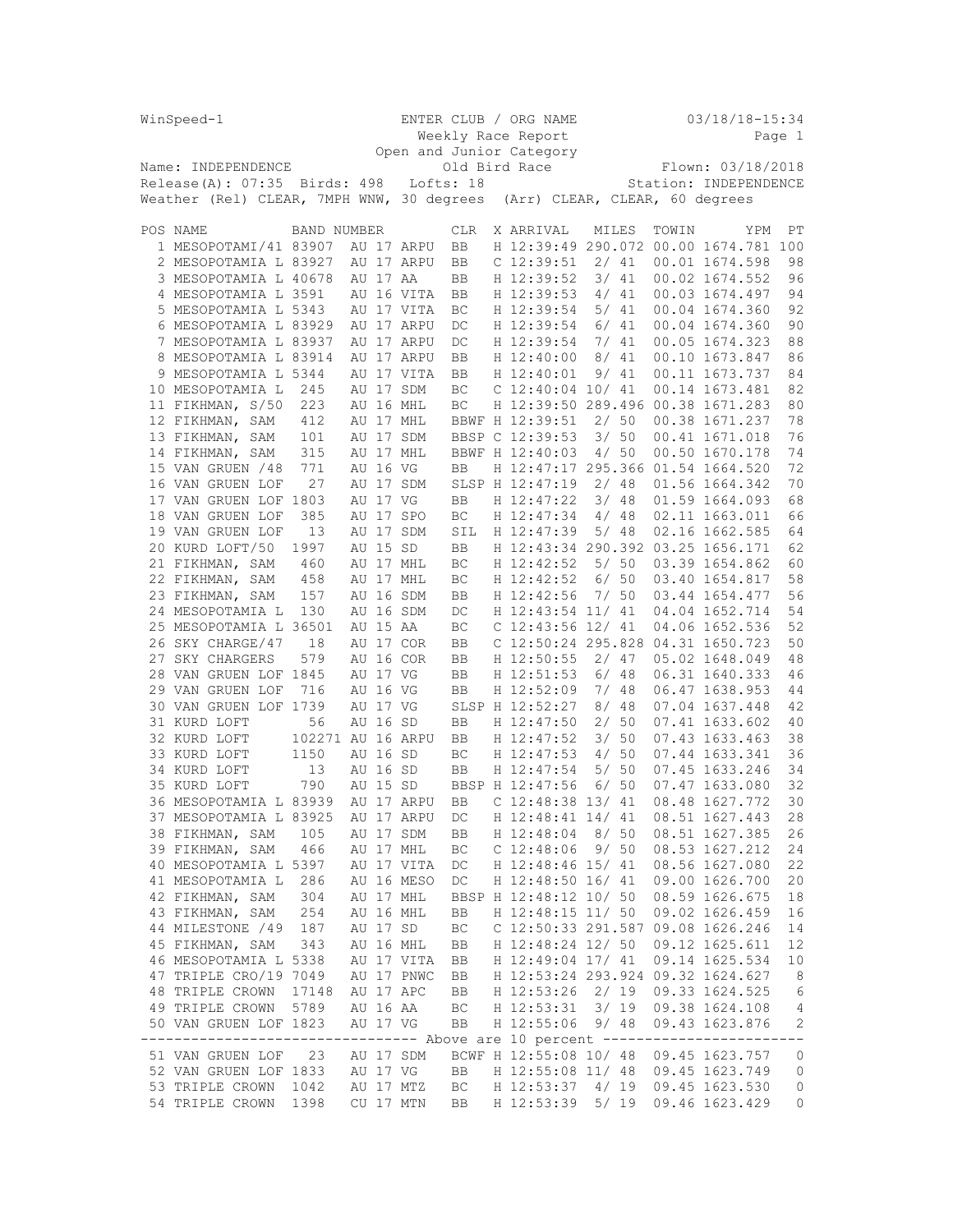| WinSpeed-1 |                                                                                                       |                   |          | ENTER CLUB / ORG NAME    |                    |                                 |  |       |       | $03/18/18 - 15:34$                    |                |
|------------|-------------------------------------------------------------------------------------------------------|-------------------|----------|--------------------------|--------------------|---------------------------------|--|-------|-------|---------------------------------------|----------------|
|            |                                                                                                       |                   |          |                          | Weekly Race Report |                                 |  |       |       |                                       | Page 1         |
|            |                                                                                                       |                   |          | Open and Junior Category |                    |                                 |  |       |       |                                       |                |
|            | Name: INDEPENDENCE                                                                                    |                   |          |                          | Old Bird Race      |                                 |  |       |       | Flown: 03/18/2018                     |                |
|            | Release(A): 07:35 Birds: 498                                                                          |                   |          | Lofts: 18                |                    |                                 |  |       |       | Station: INDEPENDENCE                 |                |
|            | Weather (Rel) CLEAR, 7MPH WNW, 30 degrees                                                             |                   |          |                          |                    |                                 |  |       |       | (Arr) CLEAR, CLEAR, 60 degrees        |                |
| POS NAME   |                                                                                                       | BAND NUMBER       |          |                          | <b>CLR</b>         | X ARRIVAL                       |  | MILES | TOWIN | YPM                                   | РT             |
|            | 1 MESOPOTAMI/41 83907                                                                                 |                   |          | AU 17 ARPU               | BB                 |                                 |  |       |       | H 12:39:49 290.072 00.00 1674.781 100 |                |
|            | 2 MESOPOTAMIA L 83927                                                                                 |                   |          | AU 17 ARPU               | BB                 | $C$ 12:39:51                    |  | 2/41  |       | 00.01 1674.598                        | 98             |
|            | 3 MESOPOTAMIA L 40678                                                                                 |                   | AU 17 AA |                          | BB                 | H 12:39:52                      |  | 3/41  |       | 00.02 1674.552                        | 96             |
|            | 4 MESOPOTAMIA L 3591                                                                                  |                   |          | AU 16 VITA               | BB                 | H 12:39:53                      |  | 4/41  |       | 00.03 1674.497                        | 94             |
|            | 5 MESOPOTAMIA L 5343                                                                                  |                   |          | AU 17 VITA               | ВC                 | H 12:39:54                      |  | 5/41  |       | 00.04 1674.360                        | 92             |
|            | 6 MESOPOTAMIA L 83929                                                                                 |                   |          | AU 17 ARPU               | DC                 | H 12:39:54                      |  | 6/41  |       | 00.04 1674.360                        | 90             |
|            | 7 MESOPOTAMIA L 83937                                                                                 |                   |          | AU 17 ARPU               | DC                 | H 12:39:54                      |  | 7/41  |       | 00.05 1674.323                        | 88             |
|            | 8 MESOPOTAMIA L 83914                                                                                 |                   |          | AU 17 ARPU               | BB                 | H 12:40:00                      |  | 8/41  |       | 00.10 1673.847                        | 86             |
|            | 9 MESOPOTAMIA L 5344                                                                                  |                   |          | AU 17 VITA               | BB                 | H 12:40:01                      |  | 9/41  |       | 00.11 1673.737                        | 84             |
|            | 10 MESOPOTAMIA L                                                                                      | 245               |          | AU 17 SDM                | ВC                 | $C$ 12:40:04 10/41              |  |       |       | 00.14 1673.481                        | 82             |
|            | 11 FIKHMAN, S/50                                                                                      | 223               |          | AU 16 MHL                | ВC                 |                                 |  |       |       | H 12:39:50 289.496 00.38 1671.283     | 80             |
|            | 12 FIKHMAN, SAM                                                                                       | 412               |          | AU 17 MHL                |                    | BBWF H 12:39:51                 |  | 2/50  |       | 00.38 1671.237                        | 78             |
|            | 13 FIKHMAN, SAM                                                                                       | 101               |          | AU 17 SDM                |                    | BBSP C 12:39:53                 |  | 3/50  |       | 00.41 1671.018                        | 76             |
|            | 14 FIKHMAN, SAM                                                                                       | 315               |          | AU 17 MHL                |                    | BBWF H 12:40:03                 |  | 4/50  |       | 00.50 1670.178                        | 74             |
|            | 15 VAN GRUEN / 48                                                                                     | 771               | AU 16 VG |                          | BB                 |                                 |  |       |       | H 12:47:17 295.366 01.54 1664.520     | 72             |
|            | 16 VAN GRUEN LOF                                                                                      | 27                |          | AU 17 SDM                |                    | SLSP H 12:47:19                 |  | 2/48  |       | 01.56 1664.342                        | 70             |
|            | 17 VAN GRUEN LOF 1803                                                                                 |                   | AU 17 VG |                          | BB                 | H 12:47:22                      |  | 3/48  |       | 01.59 1664.093                        | 68             |
|            | 18 VAN GRUEN LOF                                                                                      | 385               |          | AU 17 SPO                | ВC                 | H 12:47:34                      |  | 4/48  |       | 02.11 1663.011                        | 66             |
|            | 19 VAN GRUEN LOF                                                                                      | 13                |          | AU 17 SDM                | SIL                | H 12:47:39                      |  | 5/48  |       | 02.16 1662.585                        | 64             |
|            | 20 KURD LOFT/50                                                                                       | 1997              | AU 15 SD |                          | BB                 |                                 |  |       |       | H 12:43:34 290.392 03.25 1656.171     | 62             |
|            | 21 FIKHMAN, SAM                                                                                       | 460               |          | AU 17 MHL                | ВC                 | H 12:42:52                      |  | 5/50  |       | 03.39 1654.862                        | 60             |
|            | 22 FIKHMAN, SAM                                                                                       | 458               |          | AU 17 MHL                | ВC                 | H 12:42:52                      |  | 6/50  |       | 03.40 1654.817                        | 58             |
|            | 23 FIKHMAN, SAM                                                                                       | 157<br>130        |          | AU 16 SDM<br>AU 16 SDM   | BB                 | H 12:42:56<br>H 12:43:54 11/ 41 |  | 7/50  |       | 03.44 1654.477<br>04.04 1652.714      | 56<br>54       |
|            | 24 MESOPOTAMIA L<br>25 MESOPOTAMIA L 36501                                                            |                   | AU 15 AA |                          | DC<br>ВC           | C 12:43:56 12/ 41               |  |       |       | 04.06 1652.536                        | 52             |
|            | 26 SKY CHARGE/47                                                                                      | 18                |          | AU 17 COR                | BB                 |                                 |  |       |       | C 12:50:24 295.828 04.31 1650.723     | 50             |
|            | 27 SKY CHARGERS                                                                                       | 579               |          | AU 16 COR                | BB                 | H 12:50:55                      |  | 2/47  |       | 05.02 1648.049                        | 48             |
|            | 28 VAN GRUEN LOF 1845                                                                                 |                   | AU 17 VG |                          | BB                 | H 12:51:53                      |  | 6/48  |       | 06.31 1640.333                        | 46             |
|            | 29 VAN GRUEN LOF                                                                                      | 716               | AU 16 VG |                          | BB                 | H 12:52:09                      |  | 7/98  |       | 06.47 1638.953                        | 44             |
|            | 30 VAN GRUEN LOF 1739                                                                                 |                   | AU 17 VG |                          |                    | SLSP H 12:52:27                 |  | 8/48  |       | 07.04 1637.448                        | 42             |
|            | 31 KURD LOFT                                                                                          | 56                | AU 16 SD |                          | BB                 | H 12:47:50                      |  | 2/50  |       | 07.41 1633.602                        | 40             |
|            | 32 KURD LOFT                                                                                          | 102271 AU 16 ARPU |          |                          | BB                 | H 12:47:52                      |  | 3/50  |       | 07.43 1633.463                        | 38             |
|            | 33 KURD LOFT                                                                                          | 1150              | AU 16 SD |                          | ВC                 | H 12:47:53                      |  | 4/50  |       | 07.44 1633.341                        | 36             |
|            | 34 KURD LOFT                                                                                          | 13                | AU 16 SD |                          | BB                 | H 12:47:54                      |  | 5/50  |       | 07.45 1633.246                        | 34             |
|            | 35 KURD LOFT                                                                                          | 790               | AU 15 SD |                          |                    | BBSP H 12:47:56                 |  | 6/50  |       | 07.47 1633.080                        | 32             |
|            | 36 MESOPOTAMIA L 83939                                                                                |                   |          | AU 17 ARPU               | <b>BB</b>          | $C$ 12:48:38 13/41              |  |       |       | 08.48 1627.772                        | 30             |
|            | 37 MESOPOTAMIA L 83925                                                                                |                   |          | AU 17 ARPU               | DC                 |                                 |  |       |       | H 12:48:41 14/ 41 08.51 1627.443      | 28             |
|            | 38 FIKHMAN, SAM                                                                                       | 105               |          | AU 17 SDM                | BB                 | H 12:48:04 8/ 50                |  |       |       | 08.51 1627.385                        | 26             |
|            | 39 FIKHMAN, SAM 466                                                                                   |                   |          | AU 17 MHL                | ВC                 | $C$ 12:48:06 9/ 50              |  |       |       | 08.53 1627.212                        | 24             |
|            | 40 MESOPOTAMIA L 5397                                                                                 |                   |          | AU 17 VITA               | DC                 | H 12:48:46 15/ 41               |  |       |       | 08.56 1627.080                        | 22             |
|            | 41 MESOPOTAMIA L 286                                                                                  |                   |          | AU 16 MESO               | DC                 | H 12:48:50 16/ 41               |  |       |       | 09.00 1626.700                        | 20             |
|            | 42 FIKHMAN, SAM                                                                                       | 304               |          | AU 17 MHL                |                    | BBSP H 12:48:12 10/ 50          |  |       |       | 08.59 1626.675                        | 18             |
|            | 43 FIKHMAN, SAM                                                                                       | 254               |          | AU 16 MHL                | BB                 | H 12:48:15 11/ 50               |  |       |       | 09.02 1626.459                        | 16             |
|            | 44 MILESTONE /49                                                                                      | 187               |          | AU 17 SD                 | ВC                 |                                 |  |       |       | C 12:50:33 291.587 09.08 1626.246     | 14             |
|            | 45 FIKHMAN, SAM                                                                                       | 343               |          | AU 16 MHL                | BB                 | H 12:48:24 12/ 50               |  |       |       | 09.12 1625.611                        | 12             |
|            | 46 MESOPOTAMIA L 5338                                                                                 |                   |          | AU 17 VITA               | BB                 | H 12:49:04 17/ 41               |  |       |       | 09.14 1625.534                        | 10             |
|            | 47 TRIPLE CRO/19 7049                                                                                 |                   |          | AU 17 PNWC               | BB                 |                                 |  |       |       | H 12:53:24 293.924 09.32 1624.627     | 8              |
|            | 48 TRIPLE CROWN                                                                                       | 17148             |          | AU 17 APC                | BB                 | H 12:53:26 2/ 19                |  |       |       | 09.33 1624.525                        | 6              |
|            | 49 TRIPLE CROWN                                                                                       | 5789              |          | AU 16 AA                 | ВC                 |                                 |  |       |       | H 12:53:31 3/ 19 09.38 1624.108       | $\overline{4}$ |
|            | 50 VAN GRUEN LOF 1823<br>------------------------------ Above are 10 percent ------------------------ |                   | AU 17 VG |                          | BB                 | H 12:55:06 9/ 48                |  |       |       | 09.43 1623.876                        | $\mathbf{2}$   |
|            | 51 VAN GRUEN LOF 23                                                                                   |                   |          | AU 17 SDM                |                    |                                 |  |       |       | BCWF H 12:55:08 10/ 48 09.45 1623.757 | 0              |
|            | 52 VAN GRUEN LOF 1833                                                                                 |                   |          | AU 17 VG                 | <b>BB</b>          |                                 |  |       |       | H 12:55:08 11/ 48 09.45 1623.749      | 0              |
|            | 53 TRIPLE CROWN                                                                                       | 1042              |          | AU 17 MTZ                | BC                 | H 12:53:37 4/ 19                |  |       |       | 09.45 1623.530                        | 0              |
|            | 54 TRIPLE CROWN                                                                                       | 1398              |          | CU 17 MTN                | BB.                | H 12:53:39 5/ 19                |  |       |       | 09.46 1623.429                        | 0              |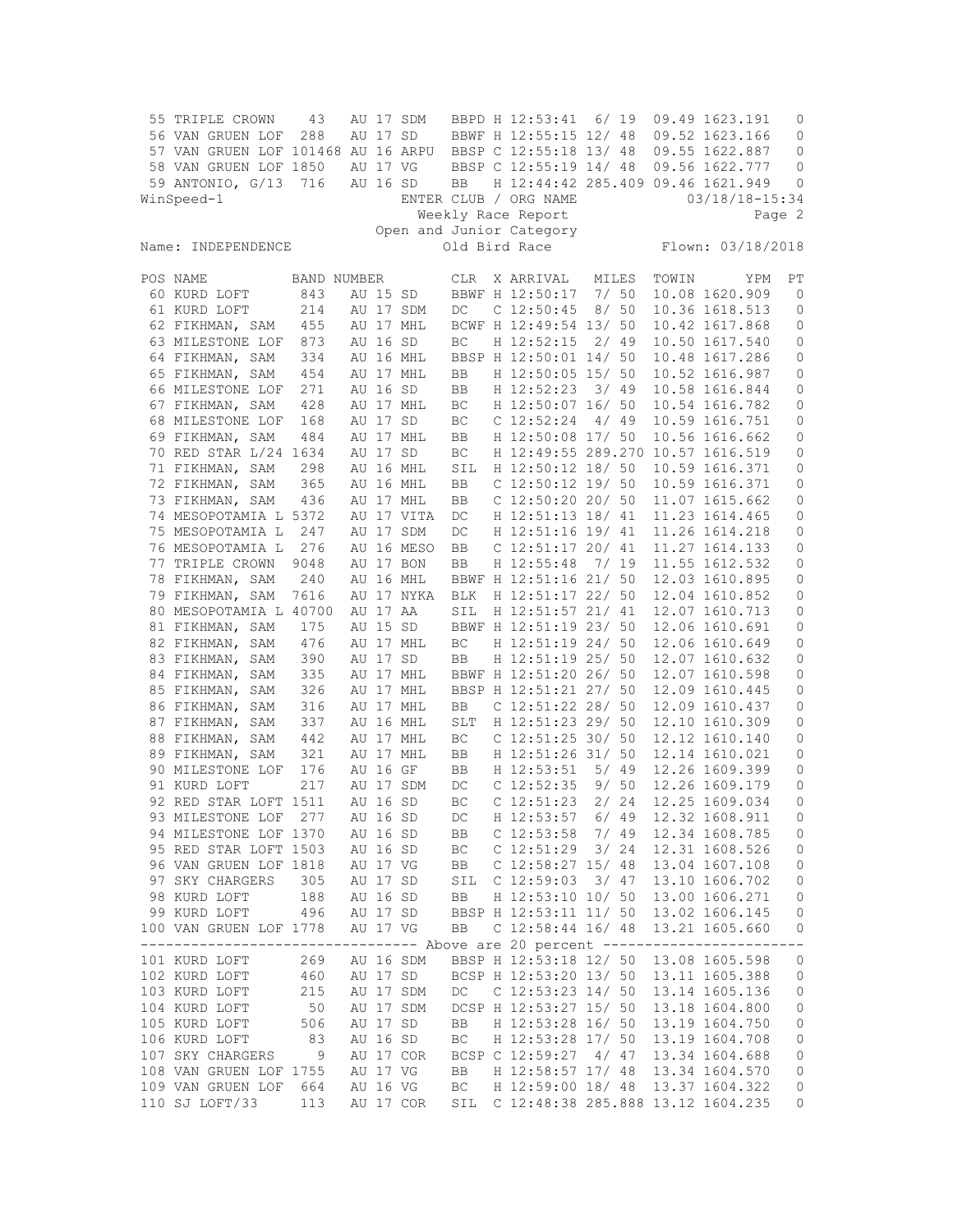| 55 TRIPLE CROWN                    | 43          |          | AU 17 SDM  |            | BBPD H 12:53:41                         | 6/19  |       |       | 09.49 1623.191    | $\mathbf{0}$ |
|------------------------------------|-------------|----------|------------|------------|-----------------------------------------|-------|-------|-------|-------------------|--------------|
| 56 VAN GRUEN LOF                   | 288         | AU 17 SD |            |            | BBWF H 12:55:15 12/ 48                  |       |       |       | 09.52 1623.166    | 0            |
| 57 VAN GRUEN LOF 101468 AU 16 ARPU |             |          |            |            | BBSP C 12:55:18 13/ 48                  |       |       |       | 09.55 1622.887    | 0            |
| 58 VAN GRUEN LOF 1850              |             | AU 17 VG |            |            | BBSP C 12:55:19 14/ 48                  |       |       |       | 09.56 1622.777    | $\circ$      |
| 59 ANTONIO, G/13 716               |             | AU 16 SD |            | BB         | H 12:44:42 285.409 09.46 1621.949       |       |       |       |                   | 0            |
| WinSpeed-1                         |             |          |            |            | ENTER CLUB / ORG NAME                   |       |       |       | 03/18/18-15:34    |              |
|                                    |             |          |            |            | Weekly Race Report                      |       |       |       |                   | Page 2       |
|                                    |             |          |            |            | Open and Junior Category                |       |       |       |                   |              |
| Name: INDEPENDENCE                 |             |          |            |            | Old Bird Race                           |       |       |       | Flown: 03/18/2018 |              |
|                                    |             |          |            |            |                                         |       |       |       |                   |              |
| POS NAME                           | BAND NUMBER |          |            | CLR        | X ARRIVAL                               | MILES |       | TOWIN | YPM               | PT           |
| 60 KURD LOFT                       | 843         | AU 15 SD |            |            | BBWF H 12:50:17                         | 7/50  |       |       | 10.08 1620.909    | 0            |
| 61 KURD LOFT                       | 214         |          | AU 17 SDM  | DC         | $C$ 12:50:45                            |       | 8/50  |       | 10.36 1618.513    | $\mathbf{0}$ |
| 62 FIKHMAN, SAM                    | 455         |          | AU 17 MHL  |            | BCWF H 12:49:54 13/ 50                  |       |       |       | 10.42 1617.868    | 0            |
| 63 MILESTONE LOF                   | 873         | AU 16 SD |            | BC         | H 12:52:15                              |       | 2/49  |       | 10.50 1617.540    | 0            |
| 64 FIKHMAN, SAM                    | 334         |          | AU 16 MHL  |            | BBSP H 12:50:01 14/ 50                  |       |       |       | 10.48 1617.286    | $\circ$      |
| 65 FIKHMAN, SAM                    | 454         |          | AU 17 MHL  | BB         | H 12:50:05 15/ 50                       |       |       |       | 10.52 1616.987    | $\mathbb O$  |
| 66 MILESTONE LOF                   | 271         | AU 16 SD |            | BB         | H 12:52:23                              |       | 3/49  |       | 10.58 1616.844    | 0            |
| 67 FIKHMAN, SAM                    | 428         |          | AU 17 MHL  | ВC         | H 12:50:07 16/ 50                       |       |       |       | 10.54 1616.782    | 0            |
| 68 MILESTONE LOF                   | 168         | AU 17 SD |            | ВC         | $C$ 12:52:24                            |       | 4/49  |       | 10.59 1616.751    | 0            |
| 69 FIKHMAN, SAM                    | 484         |          | AU 17 MHL  | BB         | H 12:50:08 17/ 50                       |       |       |       | 10.56 1616.662    | $\mathbb O$  |
| 70 RED STAR L/24 1634              |             | AU 17 SD |            | ВC         | H 12:49:55 289.270 10.57 1616.519       |       |       |       |                   | 0            |
| 71 FIKHMAN, SAM                    | 298         |          | AU 16 MHL  | SIL        | H 12:50:12 18/ 50                       |       |       |       | 10.59 1616.371    | 0            |
| 72 FIKHMAN, SAM                    | 365         |          | AU 16 MHL  | BB         | $C$ 12:50:12 19/50                      |       |       |       | 10.59 1616.371    | 0            |
| 73 FIKHMAN, SAM                    | 436         |          | AU 17 MHL  | BB         | $C$ 12:50:20 20/ 50                     |       |       |       | 11.07 1615.662    | 0            |
| 74 MESOPOTAMIA L 5372              |             |          | AU 17 VITA | DC         | H 12:51:13 18/ 41                       |       |       |       | 11.23 1614.465    | 0            |
| 75 MESOPOTAMIA L                   | 247         |          | AU 17 SDM  | DC         | H 12:51:16 19/ 41                       |       |       |       | 11.26 1614.218    | 0            |
| 76 MESOPOTAMIA L                   | 276         |          | AU 16 MESO | BB         | $C$ 12:51:17 20/ 41                     |       |       |       | 11.27 1614.133    | 0            |
| 77 TRIPLE CROWN                    | 9048        |          | AU 17 BON  | BB         | H 12:55:48                              | 7/19  |       |       | 11.55 1612.532    | 0            |
| 78 FIKHMAN, SAM                    | 240         |          | AU 16 MHL  |            | BBWF H 12:51:16 21/ 50                  |       |       |       | 12.03 1610.895    | $\mathbb O$  |
| 79 FIKHMAN, SAM                    | 7616        |          | AU 17 NYKA | <b>BLK</b> | H 12:51:17 22/ 50                       |       |       |       | 12.04 1610.852    | $\mathbb O$  |
| 80 MESOPOTAMIA L 40700             |             | AU 17 AA |            | SIL        | H 12:51:57 21/ 41                       |       |       |       | 12.07 1610.713    | 0            |
| 81 FIKHMAN, SAM                    | 175         | AU 15 SD |            |            | BBWF H 12:51:19 23/ 50                  |       |       |       | 12.06 1610.691    | 0            |
| 82 FIKHMAN, SAM                    | 476         |          | AU 17 MHL  | ВC         | H 12:51:19 24/ 50                       |       |       |       | 12.06 1610.649    | $\mathbb O$  |
| 83 FIKHMAN, SAM                    | 390         | AU 17 SD |            | BB         | H 12:51:19 25/ 50                       |       |       |       | 12.07 1610.632    | 0            |
| 84 FIKHMAN, SAM                    | 335         |          | AU 17 MHL  |            | BBWF H 12:51:20 26/ 50                  |       |       |       | 12.07 1610.598    | 0            |
| 85 FIKHMAN, SAM                    | 326         |          | AU 17 MHL  |            | BBSP H 12:51:21 27/ 50                  |       |       |       | 12.09 1610.445    | 0            |
| 86 FIKHMAN, SAM                    | 316         |          | AU 17 MHL  | BB         | C $12:51:22$ 28/ 50                     |       |       |       | 12.09 1610.437    | 0            |
| 87 FIKHMAN, SAM                    | 337         |          | AU 16 MHL  | <b>SLT</b> | H 12:51:23 29/ 50                       |       |       |       | 12.10 1610.309    | 0            |
| 88 FIKHMAN, SAM                    | 442         |          | AU 17 MHL  | ВC         | C 12:51:25 30/ 50                       |       |       |       | 12.12 1610.140    | 0            |
| 89 FIKHMAN, SAM                    | 321         |          | AU 17 MHL  | BB         | H 12:51:26 31/ 50                       |       |       |       | 12.14 1610.021    | $\mathbb O$  |
| 90 MILESTONE LOF                   | 176         | AU 16 GF |            | BB         | H 12:53:51                              | 5/49  |       |       | 12.26 1609.399    | 0            |
| 91 KURD LOFT                       | 217         |          | AU 17 SDM  | DC         | $C$ 12:52:35                            | 9/50  |       |       | 12.26 1609.179    | 0            |
| 92 RED STAR LOFT 1511              |             | AU 16 SD |            | BC         | C <sub>12:51:23</sub>                   | 2/24  |       |       | 12.25 1609.034    | 0            |
| 93 MILESTONE LOF                   | 277         | AU 16 SD |            | DC         | H 12:53:57                              | 6/ 49 |       |       | 12.32 1608.911    | 0            |
| 94 MILESTONE LOF 1370              |             | AU 16 SD |            | BB         | $C$ 12:53:58                            | 7/99  |       |       | 12.34 1608.785    | 0            |
| 95 RED STAR LOFT 1503              |             | AU 16 SD |            | ВC         | $C$ 12:51:29                            | 3/24  |       |       | 12.31 1608.526    | 0            |
| 96 VAN GRUEN LOF 1818              |             | AU 17 VG |            | BB         | $C$ 12:58:27 15/ 48                     |       |       |       | 13.04 1607.108    | 0            |
| 97 SKY CHARGERS                    | 305         | AU 17 SD |            | SIL        | $C$ 12:59:03                            |       | 3/ 47 |       | 13.10 1606.702    | 0            |
| 98 KURD LOFT                       | 188         | AU 16 SD |            | BB         | H 12:53:10 10/ 50                       |       |       |       | 13.00 1606.271    | 0            |
| 99 KURD LOFT                       | 496         | AU 17 SD |            |            | BBSP H 12:53:11 11/ 50                  |       |       |       | 13.02 1606.145    | $\mathbb O$  |
| 100 VAN GRUEN LOF 1778             |             | AU 17 VG |            | BB         | C $12:58:44$ $16/48$                    |       |       |       | 13.21 1605.660    | 0            |
| ------------------                 |             |          |            |            | ------------ Above are 20 percent ----- |       |       |       | --------          | $ -$         |
| 101 KURD LOFT                      | 269         |          | AU 16 SDM  |            | BBSP H 12:53:18 12/ 50                  |       |       |       | 13.08 1605.598    | 0            |
| 102 KURD LOFT                      | 460         |          | AU 17 SD   |            | BCSP H 12:53:20 13/ 50                  |       |       |       | 13.11 1605.388    | 0            |
| 103 KURD LOFT                      | 215         |          | AU 17 SDM  | DC         | C $12:53:23$ $14/50$                    |       |       |       | 13.14 1605.136    | 0            |
| 104 KURD LOFT                      | 50          |          | AU 17 SDM  |            | DCSP H 12:53:27 15/ 50                  |       |       |       | 13.18 1604.800    | $\mathbb O$  |
| 105 KURD LOFT                      | 506         | AU 17 SD |            | BB         | H 12:53:28 16/ 50                       |       |       |       | 13.19 1604.750    | $\mathbb O$  |
| 106 KURD LOFT                      | 83          | AU 16 SD |            | ВC         | H 12:53:28 17/ 50                       |       |       |       | 13.19 1604.708    | $\mathbf 0$  |
| 107 SKY CHARGERS                   | 9           |          | AU 17 COR  |            | BCSP C 12:59:27                         | 4/47  |       |       | 13.34 1604.688    | $\mathbb O$  |
| 108 VAN GRUEN LOF 1755             |             | AU 17 VG |            | BB         | H 12:58:57 17/ 48                       |       |       |       | 13.34 1604.570    | 0            |
| 109 VAN GRUEN LOF                  | 664         | AU 16 VG |            | ВC         | H 12:59:00 18/ 48                       |       |       |       | 13.37 1604.322    | 0            |
| 110 SJ LOFT/33                     | 113         |          | AU 17 COR  |            | SIL C 12:48:38 285.888 13.12 1604.235   |       |       |       |                   | 0            |
|                                    |             |          |            |            |                                         |       |       |       |                   |              |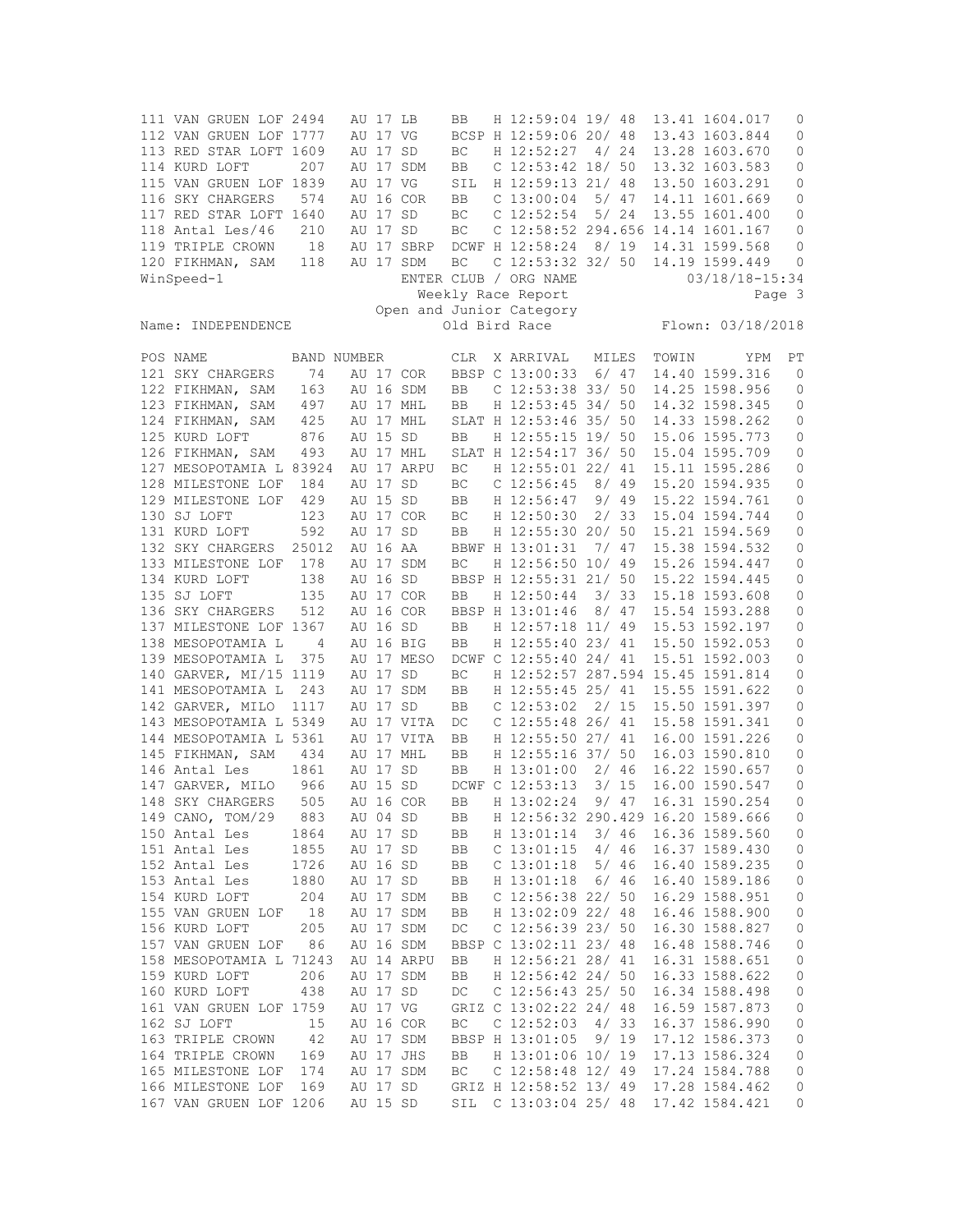111 VAN GRUEN LOF 2494 AU 17 LB BB H 12:59:04 19/ 48 13.41 1604.017 0 112 VAN GRUEN LOF 1777 AU 17 VG BCSP H 12:59:06 20/ 48 13.43 1603.844 0 113 RED STAR LOFT 1609 AU 17 SD BC H 12:52:27 4/ 24 13.28 1603.670 0 114 KURD LOFT 207 AU 17 SDM BB C 12:53:42 18/ 50 13.32 1603.583 0 115 VAN GRUEN LOF 1839 AU 17 VG SIL H 12:59:13 21/ 48 13.50 1603.291 0 116 SKY CHARGERS 574 AU 16 COR BB C 13:00:04 5/ 47 14.11 1601.669 0 117 RED STAR LOFT 1640 AU 17 SD BC C 12:52:54 5/ 24 13.55 1601.400 0 118 Antal Les/46 210 AU 17 SD BC C 12:58:52 294.656 14.14 1601.167 0 119 TRIPLE CROWN 18 AU 17 SBRP DCWF H 12:58:24 8/ 19 14.31 1599.568 0 120 FIKHMAN, SAM 118 AU 17 SDM BC C 12:53:32 32/ 50 14.19 1599.449 0 WinSpeed-1 ENTER CLUB / ORG NAME 03/18/18-15:34 Weekly Race Report Page 3 Open and Junior Category Name: INDEPENDENCE Old Bird Race Flown: 03/18/2018 POS NAME BAND NUMBER CLR X ARRIVAL MILES TOWIN YPM PT 121 SKY CHARGERS 74 AU 17 COR BBSP C 13:00:33 6/ 47 14.40 1599.316 0 122 FIKHMAN, SAM 163 AU 16 SDM BB C 12:53:38 33/ 50 14.25 1598.956 0 123 FIKHMAN, SAM 497 AU 17 MHL BB H 12:53:45 34/ 50 14.32 1598.345 0 124 FIKHMAN, SAM 425 AU 17 MHL SLAT H 12:53:46 35/ 50 14.33 1598.262 0 125 126 AU 15 SD BB H 12:55:15 19/ 50 15.06 1595.773 0<br>193 111 17 MHL SLAT H 12:54:17 36/ 50 15:04 1595 709 0 126 FIKHMAN, SAM 493 AU 17 MHL SLAT H 12:54:17 36/ 50 15.04 1595.709 0 127 MESOPOTAMIA L 83924 AU 17 ARPU BC H 12:55:01 22/ 41 15.11 1595.286 0 128 MILESTONE LOF 184 AU 17 SD BC C 12:56:45 8/ 49 15.20 1594.935 0<br>129 MILESTONE LOF 429 AU 15 SD BB H 12:56:47 9/ 49 15.22 1594.761 0 429 AU 15 SD BB H 12:56:47 9/ 49 15.22 1594.761 0<br>123 AU 17 COR BC H 12:50:30 2/ 33 15.04 1594.744 0 130 SJ LOFT 123 AU 17 COR BC H 12:50:30 2/ 33 15.04 1594.744 0<br>131 KURD LOFT 592 AU 17 SD BB H 12:55:30 20/ 50 15.21 1594.569 0 131 KURD LOFT 592 AU 17 SD BB H 12:55:30 20/ 50 15.21 1594.569 0 132 SKY CHARGERS 25012 AU 16 AA BBWF H 13:01:31 7/ 47 15.38 1594.532 0 133 MILESTONE LOF 178 AU 17 SDM BC H 12:56:50 10/ 49 15.26 1594.447 0 134 KURD LOFT 138 AU 16 SD BBSP H 12:55:31 21/ 50 15.22 1594.445 0 135 SJ LOFT 135 AU 17 COR BB H 12:50:44 3/ 33 15.18 1593.608 0 136 SKY CHARGERS 512 AU 16 COR BBSP H 13:01:46 8/ 47 15.54 1593.288 0 137 MILESTONE LOF 1367 AU 16 SD BB H 12:57:18 11/ 49 15.53 1592.197 0<br>138 MESOPOTAMIA L 4 AU 16 BIG BB H 12:55:40 23/ 41 15.50 1592.053 0 138 MESOPOTAMIA L 4 AU 16 BIG BB H 12:55:40 23/ 41 15.50 1592.053 0<br>139 MESOPOTAMIA L 375 AU 17 MESO DCWF C 12:55:40 24/ 41 15.51 1592.003 0 139 MESOPOTAMIA L 375 AU 17 MESO DCWF C 12:55:40 24/ 41 15.51 1592.003 0 140 GARVER, MI/15 1119 AU 17 SD BC H 12:52:57 287.594 15.45 1591.814 0 141 MESOPOTAMIA L 243 AU 17 SDM BB H 12:55:45 25/ 41 15.55 1591.622 0 142 GARVER, MILO 1117 AU 17 SD BB C 12:53:02 2/ 15 15.50 1591.397 0 143 MESOPOTAMIA L 5349 AU 17 VITA DC C 12:55:48 26/ 41 15.58 1591.341 0 144 MESOPOTAMIA L 5361 AU 17 VITA BB H 12:55:50 27/ 41 16.00 1591.226 0 145 FIKHMAN, SAM 434 AU 17 MHL BB H 12:55:16 37/ 50 16.03 1590.810 0 BB H 13:01:00 2/ 46 16.22 1590.657 0 147 GARVER, MILO 966 AU 15 SD DCWF C 12:53:13 3/ 15 16.00 1590.547 0 148 SKY CHARGERS 505 AU 16 COR BB H 13:02:24 9/ 47 16.31 1590.254 0 149 CANO, TOM/29 883 AU 04 SD BB H 12:56:32 290.429 16.20 1589.666 0 150 Antal Les 1864 AU 17 SD BB H 13:01:14 3/ 46 16.36 1589.560 0 151 Antal Les 1855 AU 17 SD BB C 13:01:15 4/ 46 16.37 1589.430 0 152 Antal Les 1726 AU 16 SD BB C 13:01:18 5/ 46 16.40 1589.235 0 153 Antal Les 1880 AU 17 SD BB H 13:01:18 6/ 46 16.40 1589.186 0 154 KURD LOFT 204 AU 17 SDM BB C 12:56:38 22/ 50 16.29 1588.951 0 155 VAN GRUEN LOF 18 AU 17 SDM BB H 13:02:09 22/ 48 16.46 1588.900 0<br>156 KURD LOFT 205 AU 17 SDM DC C 12:56:39 23/ 50 16.30 1588.827 0<br>157 VAN CRUEN LOFE 36 AU 16 SDM PESE 6 10 30 10 10 10 10 10 10 10 10 11 DC C 12:56:39 23/ 50 16.30 1588.827 0<br>BBSP C 13:02:11 23/ 48 16.48 1588.746 0 156 KURD LOFT 205 AU 17 SDM DC C 12:56:39 23/ 50 16.30 1588.827 0<br>157 VAN GRUEN LOF 86 AU 16 SDM BBSP C 13:02:11 23/ 48 16.48 1588.746 0 158 MESOPOTAMIA L 71243 AU 14 ARPU BB H 12:56:21 28/ 41 16.31 1588.651 0 159 KURD LOFT 206 AU 17 SDM BB H 12:56:42 24/ 50 16.33 1588.622 0<br>160 KURD LOFT 438 AU 17 SD DC C 12:56:43 25/ 50 16.34 1588.498 0 160 KURD LOFT 438 AU 17 SD DC C 12:56:43 25/ 50 16.34 1588.498 0 161 VAN GRUEN LOF 1759 AU 17 VG GRIZ C 13:02:22 24/ 48 16.59 1587.873 0 162 SJ LOFT 15 AU 16 COR BC C 12:52:03 4/ 33 16.37 1586.990 0 163 TRIPLE CROWN 42 AU 17 SDM BBSP H 13:01:05 9/ 19 17.12 1586.373 0 164 TRIPLE CROWN 169 AU 17 JHS BB H 13:01:06 10/ 19 17.13 1586.324 0 165 MILESTONE LOF 174 AU 17 SDM BC C 12:58:48 12/ 49 17.24 1584.788 0 166 MILESTONE LOF 169 AU 17 SD GRIZ H 12:58:52 13/ 49 17.28 1584.462 0 167 VAN GRUEN LOF 1206 AU 15 SD SIL C 13:03:04 25/ 48 17.42 1584.421 0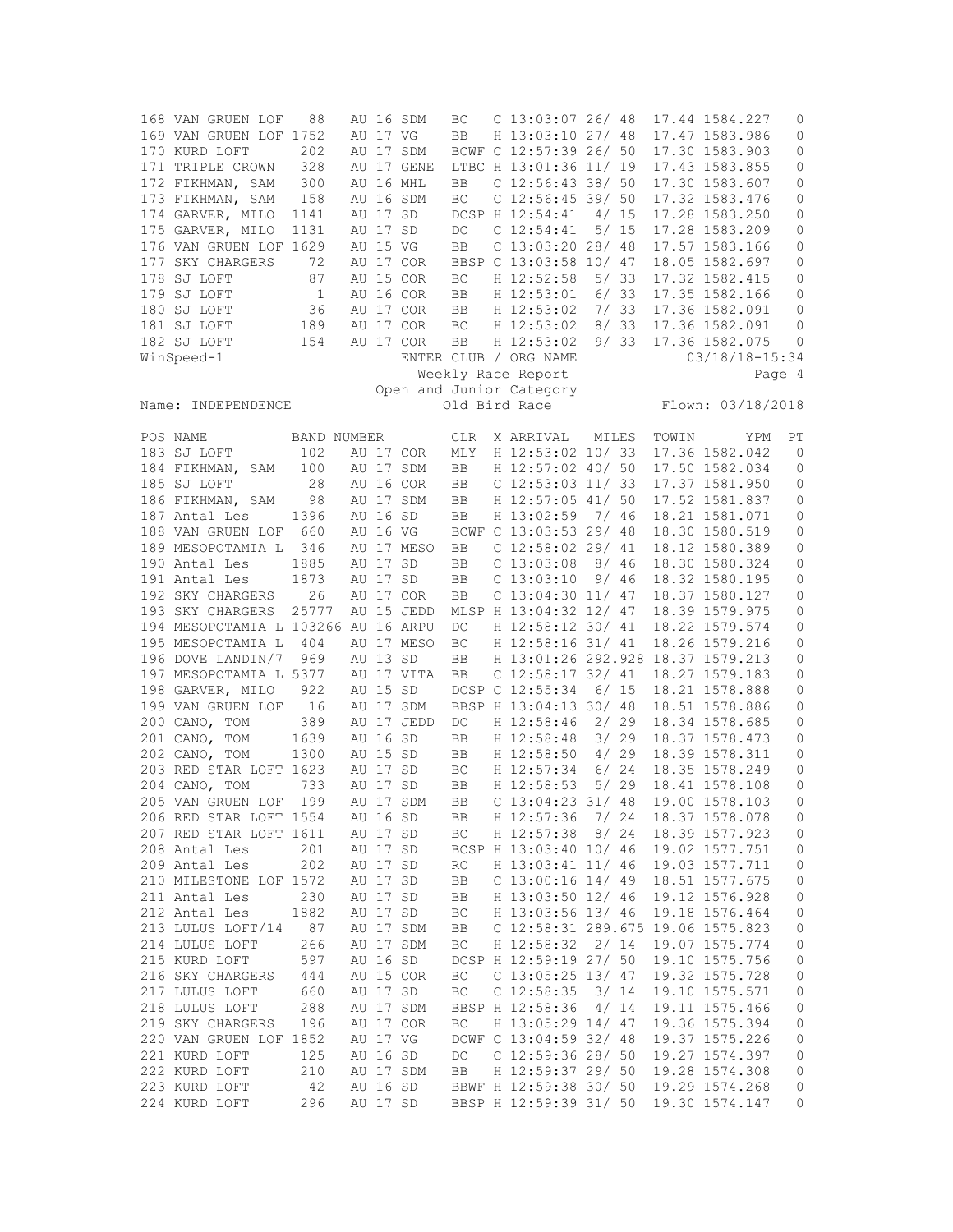168 VAN GRUEN LOF 88 AU 16 SDM BC C 13:03:07 26/ 48 17.44 1584.227 0 169 VAN GRUEN LOF 1752 AU 17 VG BB H 13:03:10 27/ 48 17.47 1583.986 0 170 KURD LOFT 202 AU 17 SDM BCWF C 12:57:39 26/ 50 17.30 1583.903 0 171 TRIPLE CROWN 328 AU 17 GENE LTBC H 13:01:36 11/ 19 17.43 1583.855 0 172 FIKHMAN, SAM 300 AU 16 MHL BB C 12:56:43 38/ 50 17.30 1583.607 0 173 FIKHMAN, SAM 158 AU 16 SDM BC C 12:56:45 39/ 50 17.32 1583.476 0 174 GARVER, MILO 1141 AU 17 SD DCSP H 12:54:41 4/ 15 17.28 1583.250 0 175 GARVER, MILO 1131 AU 17 SD DC C 12:54:41 5/ 15 17.28 1583.209 0 176 VAN GRUEN LOF 1629 AU 15 VG BB C 13:03:20 28/ 48 17.57 1583.166 0 177 SKY CHARGERS 72 AU 17 COR BBSP C 13:03:58 10/ 47 18.05 1582.697 0 178 SJ LOFT 1 87 AU 15 COR BC H 12:52:58 5/ 33 17.32 1582.415 0<br>179 SJ LOFT 1 AU 16 COR BB H 12:53:01 6/ 33 17.35 1582.166 0 179 SJ LOFT 1 AU 16 COR BB H 12:53:01 6/33 17.35 1582.166 0<br>180 SJ LOFT 36 AU 17 COR BB H 12:53:02 7/33 17.36 1582.091 0 180 SJ LOFT 36 AU 17 COR BB H 12:53:02 7/ 33 17.36 1582.091 0 181 SJ LOFT 189 AU 17 COR BC H 12:53:02 8/ 33 17.36 1582.091<br>182 SJ LOFT 154 AU 17 COR BB H 12:53:02 9/ 33 17.36 1582.075 154 AU 17 COR BB H 12:53:02 9/ 33 17.36 1582.075 0 WinSpeed-1 **ENTER CLUB** / ORG NAME 03/18/18-15:34 Weekly Race Report Page 4 Open and Junior Category Name: INDEPENDENCE Old Bird Race Flown: 03/18/2018 POS NAME BAND NUMBER CLR X ARRIVAL MILES TOWIN YPM PT 183 SJ LOFT 102 AU 17 COR MLY H 12:53:02 10/33 17.36 1582.042 0 183 SJ LOFT 102 AU 17 COR MLY H 12:53:02 10/ 33 17.36 1582.042 0 184 FIKHMAN, SAM 100 AU 17 SDM BB H 12:57:02 40/ 50 17.50 1582.034 0 185 SJ LOFT 28 AU 16 COR BB C 12:53:03 11/ 33 17.37 1581.950 0 186 FIKHMAN, SAM 98 AU 17 SDM BB H 12:57:05 41/ 50 17.52 1581.837 0 187 Antal Les 1396 AU 16 SD BB H 13:02:59 7/ 46 18.21 1581.071 0 188 VAN GRUEN LOF 660 AU 16 VG BCWF C 13:03:53 29/ 48 18.30 1580.519 0 189 MESOPOTAMIA L 346 AU 17 MESO BB C 12:58:02 29/ 41 18.12 1580.389 0 190 Antal Les 1885 AU 17 SD BB C 13:03:08 8/ 46 18.30 1580.324 0 191 Antal Les 1873 AU 17 SD BB C 13:03:10 9/ 46 18.32 1580.195 0 192 SKY CHARGERS 26 AU 17 COR BB C 13:04:30 11/ 47 18.37 1580.127 0 193 SKY CHARGERS 25777 AU 15 JEDD MLSP H 13:04:32 12/ 47 18.39 1579.975 0 194 MESOPOTAMIA L 103266 AU 16 ARPU DC H 12:58:12 30/ 41 18.22 1579.574 0 195 MESOPOTAMIA L 404 AU 17 MESO BC H 12:58:16 31/ 41 18.26 1579.216 0 196 DOVE LANDIN/7 969 AU 13 SD BB H 13:01:26 292.928 18.37 1579.213 0 197 MESOPOTAMIA L 5377 AU 17 VITA BB C 12:58:17 32/ 41 18.27 1579.183 0 198 GARVER, MILO 922 AU 15 SD DCSP C 12:55:34 6/ 15 18.21 1578.888 0 199 VAN GRUEN LOF 16 AU 17 SDM BBSP H 13:04:13 30/ 48 18.51 1578.886 0 200 CANO, TOM 389 AU 17 JEDD DC H 12:58:46 2/ 29 18.34 1578.685 0 201 CANO, TOM 1639 AU 16 SD BB H 12:58:48 3/ 29 18.37 1578.473 0 202 CANO, TOM 1300 AU 15 SD BB H 12:58:50 4/ 29 18.39 1578.311 0 203 RED STAR LOFT 1623 AU 17 SD BC H 12:57:34 6/ 24 18.35 1578.249 0 204 CANO, TOM 733 AU 17 SD BB H 12:58:53 5/ 29 18.41 1578.108 0 205 VAN GRUEN LOF 199 AU 17 SDM BB C 13:04:23 31/ 48 19.00 1578.103 0 206 RED STAR LOFT 1554 AU 16 SD BB H 12:57:36 7/ 24 18.37 1578.078 0 207 RED STAR LOFT 1611 AU 17 SD BC H 12:57:38 8/ 24 18.39 1577.923 0 208 Antal Les 201 AU 17 SD BCSP H 13:03:40 10/ 46 19.02 1577.751 0 209 Antal Les 202 AU 17 SD RC H 13:03:41 11/ 46 19.03 1577.711 0 210 MILESTONE LOF 1572 AU 17 SD BB C 13:00:16 14/ 49 18.51 1577.675 0<br>211 Aptal Les 230 AU 17 SD BB H 13:03:50 12/ 46 19 12 1576 928 0 211 Antal Les 230 AU 17 SD BB H 13:03:50 12/ 46 19.12 1576.928 0 212 Antal Les 1882 AU 17 SD BC H 13:03:56 13/ 46 19.18 1576.464 0 213 LULUS LOFT/14 87 AU 17 SDM BB C 12:58:31 289.675 19.06 1575.823 0 214 LULUS LOFT 266 AU 17 SDM BC H 12:58:32 2/ 14 19.07 1575.774 0 215 KURD LOFT 597 AU 16 SD DCSP H 12:59:19 27/ 50 19.10 1575.756 0 216 SKY CHARGERS 444 AU 15 COR BC C 13:05:25 13/ 47 19.32 1575.728 0 BC C 12:58:35 3/ 14 19.10 1575.571 0 218 LULUS LOFT 288 AU 17 SDM BBSP H 12:58:36 4/ 14 19.11 1575.466 0 219 SKY CHARGERS 196 AU 17 COR BC H 13:05:29 14/ 47 19.36 1575.394 0 220 VAN GRUEN LOF 1852 AU 17 VG DCWF C 13:04:59 32/ 48 19.37 1575.226 0 221 KURD LOFT 125 AU 16 SD DC C 12:59:36 28/ 50 19.27 1574.397 0 222 KURD LOFT 210 AU 17 SDM BB H 12:59:37 29/ 50 19.28 1574.308 0 42 AU 16 SD BBWF H 12:59:38 30/ 50 19.29 1574.268 224 KURD LOFT 296 AU 17 SD BBSP H 12:59:39 31/ 50 19.30 1574.147 0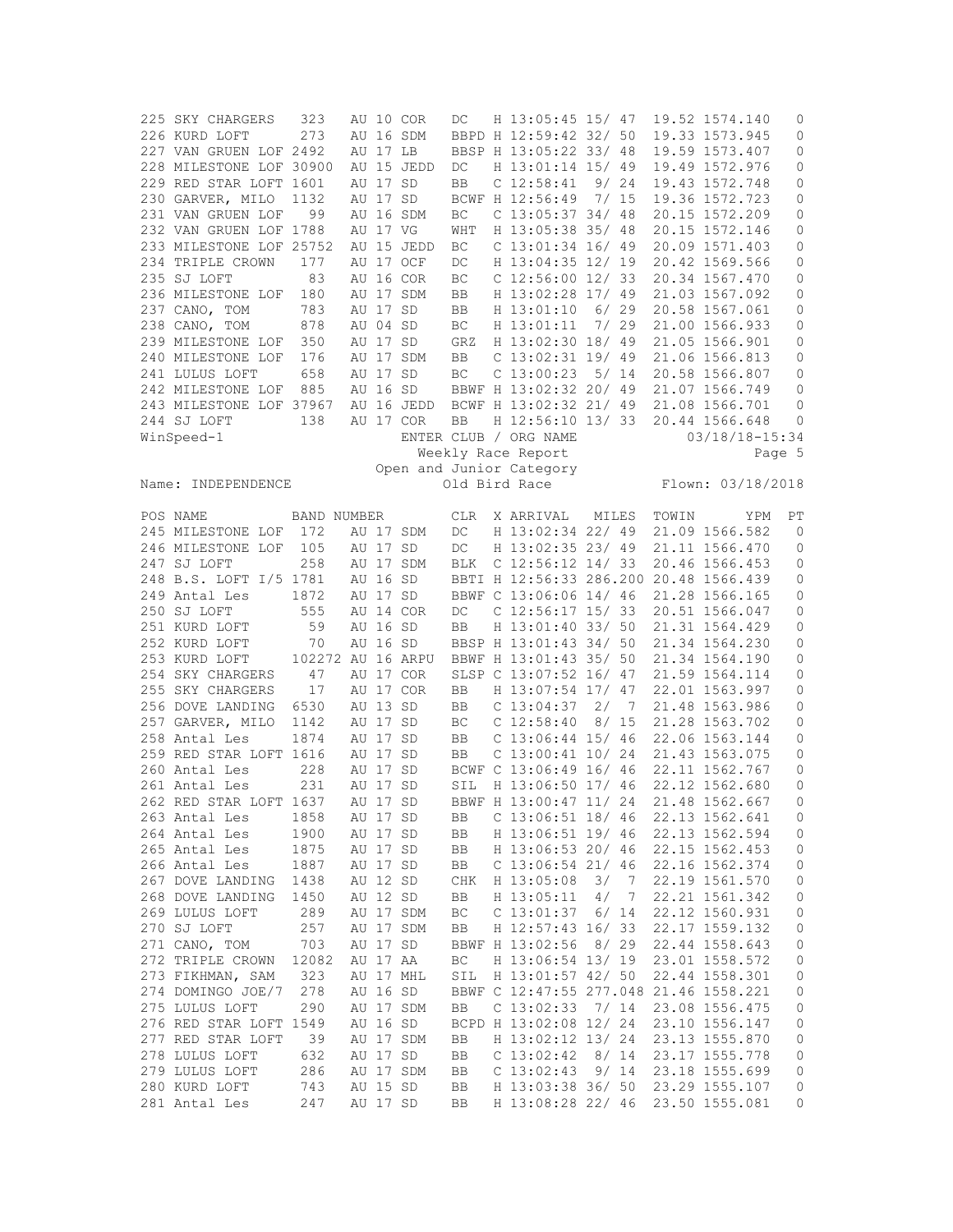| 225 SKY CHARGERS        | 323               |          |          | AU 10 COR  | DC                  | H 13:05:45 15/ 47                      |       |                |       | 19.52 1574.140     | 0            |
|-------------------------|-------------------|----------|----------|------------|---------------------|----------------------------------------|-------|----------------|-------|--------------------|--------------|
| 226 KURD LOFT           | 273               |          |          | AU 16 SDM  |                     | BBPD H 12:59:42 32/ 50                 |       |                |       | 19.33 1573.945     | 0            |
| 227 VAN GRUEN LOF 2492  |                   |          | AU 17 LB |            |                     | BBSP H 13:05:22 33/ 48                 |       |                |       | 19.59 1573.407     | 0            |
| 228 MILESTONE LOF 30900 |                   |          |          | AU 15 JEDD | DC                  | H 13:01:14 15/ 49                      |       |                |       | 19.49 1572.976     | 0            |
| 229 RED STAR LOFT 1601  |                   |          | AU 17 SD |            | BB                  | $C$ 12:58:41 9/24                      |       |                |       | 19.43 1572.748     | 0            |
| 230 GARVER, MILO        | 1132              |          | AU 17 SD |            |                     | BCWF H 12:56:49                        | 7/15  |                |       | 19.36 1572.723     | 0            |
| 231 VAN GRUEN LOF       | 99                |          |          | AU 16 SDM  | BC                  | $C$ 13:05:37 34/ 48                    |       |                |       | 20.15 1572.209     | 0            |
|                         |                   |          |          |            |                     |                                        |       |                |       |                    |              |
| 232 VAN GRUEN LOF 1788  |                   |          | AU 17 VG |            | WHT                 | H 13:05:38 35/ 48                      |       |                |       | 20.15 1572.146     | 0            |
| 233 MILESTONE LOF 25752 |                   |          |          | AU 15 JEDD | ВC                  | $C$ 13:01:34 16/49                     |       |                |       | 20.09 1571.403     | 0            |
| 234 TRIPLE CROWN        | 177               |          |          | AU 17 OCF  | DC                  | H 13:04:35 12/ 19                      |       |                |       | 20.42 1569.566     | 0            |
| 235 SJ LOFT             | 83                |          |          | AU 16 COR  | ВC                  | $C$ 12:56:00 12/33                     |       |                |       | 20.34 1567.470     | 0            |
| 236 MILESTONE LOF       | 180               |          |          | AU 17 SDM  | BB                  | H 13:02:28 17/ 49                      |       |                |       | 21.03 1567.092     | 0            |
| 237 CANO, TOM           | 783               |          | AU 17 SD |            | BB                  | H 13:01:10 6/ 29                       |       |                |       | 20.58 1567.061     | 0            |
| 238 CANO, TOM           | 878               |          | AU 04 SD |            | ВC                  | H 13:01:11 7/ 29                       |       |                |       | 21.00 1566.933     | 0            |
| 239 MILESTONE LOF       | 350               |          | AU 17 SD |            | GRZ                 | H 13:02:30 18/ 49                      |       |                |       | 21.05 1566.901     | 0            |
| 240 MILESTONE LOF       | 176               |          |          | AU 17 SDM  | BB                  | $C$ 13:02:31 19/49                     |       |                |       | 21.06 1566.813     | 0            |
|                         |                   |          |          |            |                     |                                        |       |                |       |                    |              |
| 241 LULUS LOFT          | 658               |          | AU 17 SD |            | $\operatorname{BC}$ | $C$ 13:00:23 5/ 14                     |       |                |       | 20.58 1566.807     | 0            |
| 242 MILESTONE LOF       | 885               |          | AU 16 SD |            |                     | BBWF H 13:02:32 20/ 49                 |       |                |       | 21.07 1566.749     | 0            |
| 243 MILESTONE LOF 37967 |                   |          |          | AU 16 JEDD |                     | BCWF H 13:02:32 21/ 49                 |       |                |       | 21.08 1566.701     | 0            |
| 244 SJ LOFT             | 138               |          |          | AU 17 COR  | BB                  | H 12:56:10 13/33                       |       |                |       | 20.44 1566.648     | 0            |
| WinSpeed-1              |                   |          |          |            |                     | ENTER CLUB / ORG NAME                  |       |                |       | $03/18/18 - 15:34$ |              |
|                         |                   |          |          |            |                     | Weekly Race Report                     |       |                |       | Page 5             |              |
|                         |                   |          |          |            |                     | Open and Junior Category               |       |                |       |                    |              |
| Name: INDEPENDENCE      |                   |          |          |            |                     | Old Bird Race                          |       |                |       | Flown: 03/18/2018  |              |
|                         |                   |          |          |            |                     |                                        |       |                |       |                    |              |
| POS NAME                | BAND NUMBER       |          |          |            | <b>CLR</b>          | X ARRIVAL                              | MILES |                | TOWIN | Y PM               | PT           |
| 245 MILESTONE LOF       | 172               |          |          | AU 17 SDM  | DC                  | H 13:02:34 22/ 49                      |       |                |       | 21.09 1566.582     | $\mathbf{0}$ |
| 246 MILESTONE LOF       | 105               |          | AU 17 SD |            | DC                  | H 13:02:35 23/ 49                      |       |                |       | 21.11 1566.470     | 0            |
| 247 SJ LOFT             | 258               |          |          | AU 17 SDM  | <b>BLK</b>          | C $12:56:12$ $14/33$                   |       |                |       | 20.46 1566.453     | 0            |
|                         |                   |          |          |            |                     |                                        |       |                |       |                    |              |
| 248 B.S. LOFT I/5 1781  |                   |          | AU 16 SD |            |                     | BBTI H 12:56:33 286.200                |       |                |       | 20.48 1566.439     | 0            |
| 249 Antal Les           | 1872              | AU 17 SD |          |            |                     | BBWF C 13:06:06 14/ 46                 |       |                |       | 21.28 1566.165     | 0            |
| 250 SJ LOFT             | 555               |          |          | AU 14 COR  | DC                  | C $12:56:17$ $15/33$                   |       |                |       | 20.51 1566.047     | 0            |
| 251 KURD LOFT           | 59                |          | AU 16 SD |            | <b>BB</b>           | H 13:01:40 33/ 50                      |       |                |       | 21.31 1564.429     | 0            |
| 252 KURD LOFT           | 70                |          | AU 16 SD |            |                     | BBSP H 13:01:43 34/ 50                 |       |                |       | 21.34 1564.230     | $\circ$      |
| 253 KURD LOFT           | 102272 AU 16 ARPU |          |          |            |                     | BBWF H 13:01:43 35/ 50                 |       |                |       | 21.34 1564.190     | 0            |
| 254 SKY CHARGERS        | 47                |          |          | AU 17 COR  |                     | SLSP C 13:07:52 16/ 47                 |       |                |       | 21.59 1564.114     | 0            |
| 255 SKY CHARGERS        | 17                |          |          | AU 17 COR  | BB                  | H 13:07:54 17/ 47                      |       |                |       | 22.01 1563.997     | 0            |
| 256 DOVE LANDING        | 6530              |          | AU 13 SD |            | BB                  | C <sub>13:04:37</sub>                  | 2/    | $\overline{7}$ |       | 21.48 1563.986     | 0            |
| 257 GARVER, MILO        | 1142              |          | AU 17 SD |            | ВC                  | C <sub>12:58:40</sub>                  | 8/15  |                |       | 21.28 1563.702     | 0            |
|                         |                   |          |          |            |                     |                                        |       |                |       |                    |              |
| 258 Antal Les           | 1874              |          | AU 17 SD |            | BB                  | $C$ 13:06:44 15/46                     |       |                |       | 22.06 1563.144     | 0            |
| 259 RED STAR LOFT 1616  |                   |          | AU 17 SD |            | BB                  | $C$ 13:00:41 10/24                     |       |                |       | 21.43 1563.075     | 0            |
| 260 Antal Les           | 228               | AU 17    |          | SD         |                     | BCWF C 13:06:49 16/ 46                 |       |                |       | 22.11 1562.767     | 0            |
| 261 Antal Les           | 231               |          | AU 17 SD |            | SIL                 | H 13:06:50 17/ 46                      |       |                |       | 22.12 1562.680     | $\mathbf{0}$ |
| 262 RED STAR LOFT 1637  |                   |          | AU 17 SD |            |                     | BBWF H 13:00:47 11/ 24                 |       |                |       | 21.48 1562.667     | $\mathbf{0}$ |
| 263 Antal Les           | 1858              |          | AU 17 SD |            | BB                  | $C$ 13:06:51 18/ 46                    |       |                |       | 22.13 1562.641     | 0            |
| 264 Antal Les           | 1900              |          | AU 17 SD |            | BB                  | H 13:06:51 19/ 46                      |       |                |       | 22.13 1562.594     | 0            |
| 265 Antal Les           | 1875              | AU 17 SD |          |            | BB                  | H 13:06:53 20/ 46                      |       |                |       | 22.15 1562.453     | 0            |
| 266 Antal Les           | 1887              | AU 17 SD |          |            | BB                  | $C$ 13:06:54 21/ 46                    |       |                |       | 22.16 1562.374     | 0            |
| 267 DOVE LANDING        | 1438              |          | AU 12 SD |            | CHK                 | H 13:05:08                             | 3/    | $\overline{7}$ |       | 22.19 1561.570     | 0            |
|                         |                   |          |          |            |                     |                                        |       |                |       |                    |              |
| 268 DOVE LANDING        | 1450              |          | AU 12 SD |            | BB                  | H 13:05:11                             | 4/7   |                |       | 22.21 1561.342     | 0            |
| 269 LULUS LOFT          | 289               |          |          | AU 17 SDM  | ВC                  | C <sub>13:01:37</sub>                  | 6/14  |                |       | 22.12 1560.931     | 0            |
| 270 SJ LOFT             | 257               |          |          | AU 17 SDM  | BB                  | H 12:57:43 16/ 33                      |       |                |       | 22.17 1559.132     | 0            |
| 271 CANO, TOM           | 703               |          | AU 17 SD |            |                     | BBWF H 13:02:56                        | 8/29  |                |       | 22.44 1558.643     | 0            |
| 272 TRIPLE CROWN        | 12082             |          | AU 17 AA |            | ВC                  | H 13:06:54 13/ 19                      |       |                |       | 23.01 1558.572     | 0            |
| 273 FIKHMAN, SAM        | 323               |          |          | AU 17 MHL  | SIL                 | H 13:01:57 42/ 50                      |       |                |       | 22.44 1558.301     | 0            |
| 274 DOMINGO JOE/7       | 278               |          | AU 16 SD |            |                     | BBWF C 12:47:55 277.048 21.46 1558.221 |       |                |       |                    | 0            |
| 275 LULUS LOFT          | 290               |          |          | AU 17 SDM  | BB                  | $C$ 13:02:33 7/ 14                     |       |                |       | 23.08 1556.475     | 0            |
| 276 RED STAR LOFT 1549  |                   |          | AU 16 SD |            |                     | BCPD H 13:02:08 12/ 24                 |       |                |       | 23.10 1556.147     | 0            |
| 277 RED STAR LOFT       | 39                |          |          | AU 17 SDM  | BB                  | H 13:02:12 13/ 24                      |       |                |       | 23.13 1555.870     | 0            |
|                         |                   |          |          |            |                     |                                        |       |                |       |                    |              |
| 278 LULUS LOFT          | 632               |          | AU 17 SD |            | BB                  | C <sub>13:02:42</sub>                  | 8/14  |                |       | 23.17 1555.778     | 0            |
| 279 LULUS LOFT          | 286               |          |          | AU 17 SDM  | BB                  | C <sub>13:02:43</sub>                  |       | 9/14           |       | 23.18 1555.699     | 0            |
| 280 KURD LOFT           | 743               |          | AU 15 SD |            | BB                  | H 13:03:38 36/ 50                      |       |                |       | 23.29 1555.107     | 0            |
| 281 Antal Les           | 247               |          | AU 17 SD |            | BB                  | H 13:08:28 22/ 46                      |       |                |       | 23.50 1555.081     | 0            |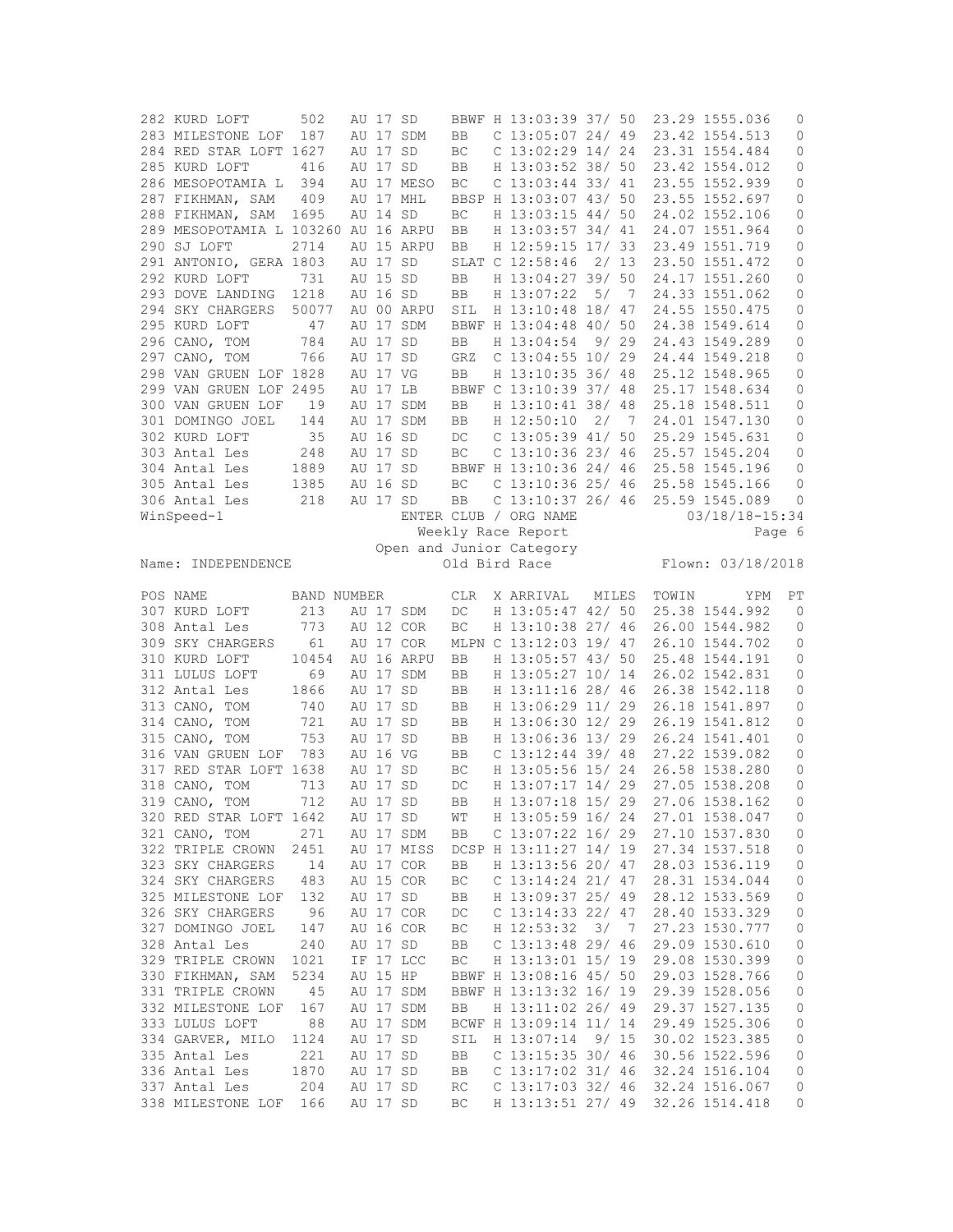| 282 KURD LOFT                       | 502         | AU 17 SD             |            |           | BBWF H 13:03:39 37/ 50                   |      |                |       | 23.29 1555.036                   | 0                   |
|-------------------------------------|-------------|----------------------|------------|-----------|------------------------------------------|------|----------------|-------|----------------------------------|---------------------|
| 283 MILESTONE LOF                   | 187         |                      | AU 17 SDM  | <b>BB</b> | $C$ 13:05:07 24/49                       |      |                |       | 23.42 1554.513                   | $\circ$             |
| 284 RED STAR LOFT 1627              |             | AU 17 SD             |            | ВC        | $C$ 13:02:29 14/24                       |      |                |       | 23.31 1554.484                   | $\circ$             |
| 285 KURD LOFT                       | 416         | AU 17 SD             |            | BB        | H 13:03:52 38/ 50                        |      |                |       | 23.42 1554.012                   | $\circ$             |
| 286 MESOPOTAMIA L                   | 394         |                      | AU 17 MESO | BC        | $C$ 13:03:44 33/41                       |      |                |       | 23.55 1552.939                   | 0                   |
| 287 FIKHMAN, SAM                    | 409         |                      | AU 17 MHL  |           | BBSP H 13:03:07 43/ 50                   |      |                |       | 23.55 1552.697                   | 0                   |
| 288 FIKHMAN, SAM                    | 1695        | AU 14 SD             |            | BC        | H 13:03:15 44/ 50                        |      |                |       | 24.02 1552.106                   | 0                   |
| 289 MESOPOTAMIA L 103260 AU 16 ARPU |             |                      |            | BB        | H 13:03:57 34/ 41                        |      |                |       | 24.07 1551.964                   | 0                   |
| 290 SJ LOFT                         | 2714        |                      | AU 15 ARPU | BB        | H 12:59:15 17/ 33                        |      |                |       | 23.49 1551.719                   | 0                   |
| 291 ANTONIO, GERA 1803              |             | AU 17 SD             |            |           | SLAT C 12:58:46                          |      | 2/13           |       | 23.50 1551.472                   | 0                   |
| 292 KURD LOFT                       | 731         | AU 15 SD             |            | BB        | H 13:04:27 39/ 50                        |      |                |       | 24.17 1551.260                   | 0                   |
| 293 DOVE LANDING                    | 1218        | AU 16 SD             |            | BB        | H 13:07:22                               |      | 5/7            |       | 24.33 1551.062                   | 0                   |
| 294 SKY CHARGERS                    | 50077       |                      | AU 00 ARPU |           | H 13:10:48 18/ 47                        |      |                |       | 24.55 1550.475                   | 0                   |
|                                     |             |                      |            | SIL       |                                          |      |                |       | 24.38 1549.614                   |                     |
| 295 KURD LOFT                       | 47          |                      | AU 17 SDM  |           | BBWF H 13:04:48 40/ 50                   |      |                |       |                                  | $\circ$             |
| 296 CANO, TOM                       | 784         | AU 17 SD             |            | BB        | H 13:04:54                               | 9/29 |                |       | 24.43 1549.289                   | 0                   |
| 297 CANO, TOM                       | 766         | AU 17 SD             |            | GRZ       | $C$ 13:04:55 10/29                       |      |                |       | 24.44 1549.218                   | 0                   |
| 298 VAN GRUEN LOF 1828              |             | AU 17 VG             |            | BB        | H 13:10:35 36/ 48                        |      |                |       | 25.12 1548.965                   | 0                   |
| 299 VAN GRUEN LOF 2495              |             | AU 17 LB             |            |           | BBWF C 13:10:39 37/ 48                   |      |                |       | 25.17 1548.634                   | 0                   |
| 300 VAN GRUEN LOF                   | 19          |                      | AU 17 SDM  | BB        | H 13:10:41 38/ 48                        |      |                |       | 25.18 1548.511                   | 0                   |
| 301 DOMINGO JOEL                    | 144         |                      | AU 17 SDM  | BB.       | H 12:50:10                               |      | 2/7            |       | 24.01 1547.130                   | 0                   |
| 302 KURD LOFT                       | 35          | AU 16 SD             |            | DC        | C 13:05:39 41/ 50                        |      |                |       | 25.29 1545.631                   | 0                   |
| 303 Antal Les                       | 248         | AU 17 SD             |            | ВC        | $C$ 13:10:36 23/ 46                      |      |                |       | 25.57 1545.204                   | $\circ$             |
| 304 Antal Les                       | 1889        | AU 17 SD             |            |           | BBWF H 13:10:36 24/ 46                   |      |                |       | 25.58 1545.196                   | 0                   |
| 305 Antal Les                       | 1385        | AU 16 SD             |            | BC        | $C$ 13:10:36 25/ 46                      |      |                |       | 25.58 1545.166                   | $\circ$             |
| 306 Antal Les                       | 218         | AU 17 SD             |            | BB        | $C$ 13:10:37 26/ 46                      |      |                |       | 25.59 1545.089                   | 0                   |
| WinSpeed-1                          |             |                      |            |           | ENTER CLUB / ORG NAME                    |      |                |       | $03/18/18 - 15:34$               |                     |
|                                     |             |                      |            |           | Weekly Race Report                       |      |                |       |                                  | Page 6              |
|                                     |             |                      |            |           | Open and Junior Category                 |      |                |       |                                  |                     |
| Name: INDEPENDENCE                  |             |                      |            |           | Old Bird Race                            |      |                |       | Flown: 03/18/2018                |                     |
| POS NAME                            | BAND NUMBER |                      |            | CLR       | X ARRIVAL                                |      | MILES          | TOWIN | YPM                              | РT                  |
|                                     |             |                      |            |           |                                          |      |                |       |                                  |                     |
| 307 KURD LOFT                       | 213         |                      | AU 17 SDM  | DC        | H 13:05:47 42/ 50                        |      |                |       | 25.38 1544.992                   | $\mathbf{0}$        |
| 308 Antal Les                       |             |                      |            | BC        | H 13:10:38 27/ 46                        |      |                |       | 26.00 1544.982                   | 0                   |
|                                     | 773         |                      | AU 12 COR  |           |                                          |      |                |       |                                  |                     |
| 309 SKY CHARGERS                    | 61          |                      | AU 17 COR  |           | MLPN C 13:12:03 19/ 47                   |      |                |       | 26.10 1544.702                   | $\circ$             |
| 310 KURD LOFT                       | 10454       |                      | AU 16 ARPU | BB        | H 13:05:57 43/ 50                        |      |                |       | 25.48 1544.191                   | 0                   |
| 311 LULUS LOFT                      | 69          |                      | AU 17 SDM  | BB        | H 13:05:27 10/ 14                        |      |                |       | 26.02 1542.831                   | 0                   |
| 312 Antal Les                       | 1866        | AU 17 SD             |            | BB        | H 13:11:16 28/ 46                        |      |                |       | 26.38 1542.118                   | 0                   |
| 313 CANO, TOM                       | 740         | AU 17 SD             |            | BB        | H 13:06:29 11/ 29                        |      |                |       | 26.18 1541.897                   | 0                   |
| 314 CANO, TOM                       | 721         | AU 17 SD             |            | BB        | H 13:06:30 12/ 29                        |      |                |       | 26.19 1541.812                   | 0                   |
| 315 CANO, TOM                       | 753         | AU 17 SD             |            | BB        | H 13:06:36 13/ 29                        |      |                |       | 26.24 1541.401                   | 0                   |
| 316 VAN GRUEN LOF                   | 783         | AU 16 VG             |            | BB        | $C$ 13:12:44 39/48                       |      |                |       | 27.22 1539.082                   | 0                   |
| 317 RED STAR LOFT 1638              |             | AU 17 SD             |            | BC        | H 13:05:56 15/ 24                        |      |                |       | 26.58 1538.280                   | $\circ$             |
| 318 CANO, TOM                       | 713         | AU 17 SD             |            | DC        | H 13:07:17 14/ 29                        |      |                |       | 27.05 1538.208                   | 0                   |
| 319 CANO, TOM                       | 712         | AU 17 SD             |            | <b>BB</b> | H 13:07:18 15/ 29                        |      |                |       | 27.06 1538.162                   | $\circ$             |
| 320 RED STAR LOFT 1642              |             | AU 17 SD             |            | WΤ        | H 13:05:59 16/ 24                        |      |                |       | 27.01 1538.047                   | 0                   |
| 321 CANO, TOM                       | 271         |                      | AU 17 SDM  | BB        | C $13:07:22$ 16/29                       |      |                |       | 27.10 1537.830                   | 0                   |
| 322 TRIPLE CROWN                    | 2451        |                      | AU 17 MISS |           | DCSP H 13:11:27 14/ 19                   |      |                |       | 27.34 1537.518                   | $\mathsf{O}\xspace$ |
| 323 SKY CHARGERS                    | 14          |                      | AU 17 COR  | BB        | H 13:13:56 20/ 47                        |      |                |       | 28.03 1536.119                   | 0                   |
| 324 SKY CHARGERS                    | 483         |                      | AU 15 COR  | ВC        | C $13:14:24$ 21/47                       |      |                |       | 28.31 1534.044                   | 0                   |
|                                     |             |                      |            |           |                                          |      |                |       |                                  |                     |
| 325 MILESTONE LOF                   | 132         |                      | AU 17 SD   | BB        | H 13:09:37 25/ 49                        |      |                |       | 28.12 1533.569                   | $\mathbb O$         |
| 326 SKY CHARGERS                    | 96          |                      | AU 17 COR  | DC        | C 13:14:33 22/ 47                        |      |                |       | 28.40 1533.329                   | 0                   |
| 327 DOMINGO JOEL                    | 147         |                      | AU 16 COR  | BC        | H 12:53:32                               | 3/   | $\overline{7}$ |       | 27.23 1530.777                   | $\mathbb O$         |
| 328 Antal Les                       | 240         |                      | AU 17 SD   | BB        | $C$ 13:13:48 29/ 46                      |      |                |       | 29.09 1530.610                   | 0                   |
| 329 TRIPLE CROWN                    | 1021        |                      | IF 17 LCC  | ВC        | H 13:13:01 15/ 19                        |      |                |       | 29.08 1530.399                   | 0                   |
| 330 FIKHMAN, SAM                    | 5234        | AU 15 HP             |            |           | BBWF H 13:08:16 45/ 50                   |      |                |       | 29.03 1528.766                   | $\mathbb O$         |
| 331 TRIPLE CROWN                    | 45          |                      | AU 17 SDM  |           | BBWF H 13:13:32 16/ 19                   |      |                |       | 29.39 1528.056                   | 0                   |
| 332 MILESTONE LOF                   | 167         |                      | AU 17 SDM  | BB        | H 13:11:02 26/ 49                        |      |                |       | 29.37 1527.135                   | $\mathsf{O}\xspace$ |
| 333 LULUS LOFT                      | 88          |                      | AU 17 SDM  |           | BCWF H 13:09:14 11/ 14                   |      |                |       | 29.49 1525.306                   | $\mathbb O$         |
| 334 GARVER, MILO                    | 1124        | AU 17 SD             |            | SIL       | H 13:07:14                               |      | 9/15           |       | 30.02 1523.385                   | 0                   |
| 335 Antal Les                       | 221         | AU 17 SD             |            | BB        | $C$ 13:15:35 30/ 46                      |      |                |       | 30.56 1522.596                   | 0                   |
| 336 Antal Les                       | 1870        | AU 17 SD             |            | BB        | C $13:17:02$ 31/46                       |      |                |       | 32.24 1516.104                   | 0                   |
| 337 Antal Les<br>338 MILESTONE LOF  | 204         | AU 17 SD<br>AU 17 SD |            | RC        | $C$ 13:17:03 32/ 46<br>H 13:13:51 27/ 49 |      |                |       | 32.24 1516.067<br>32.26 1514.418 | 0                   |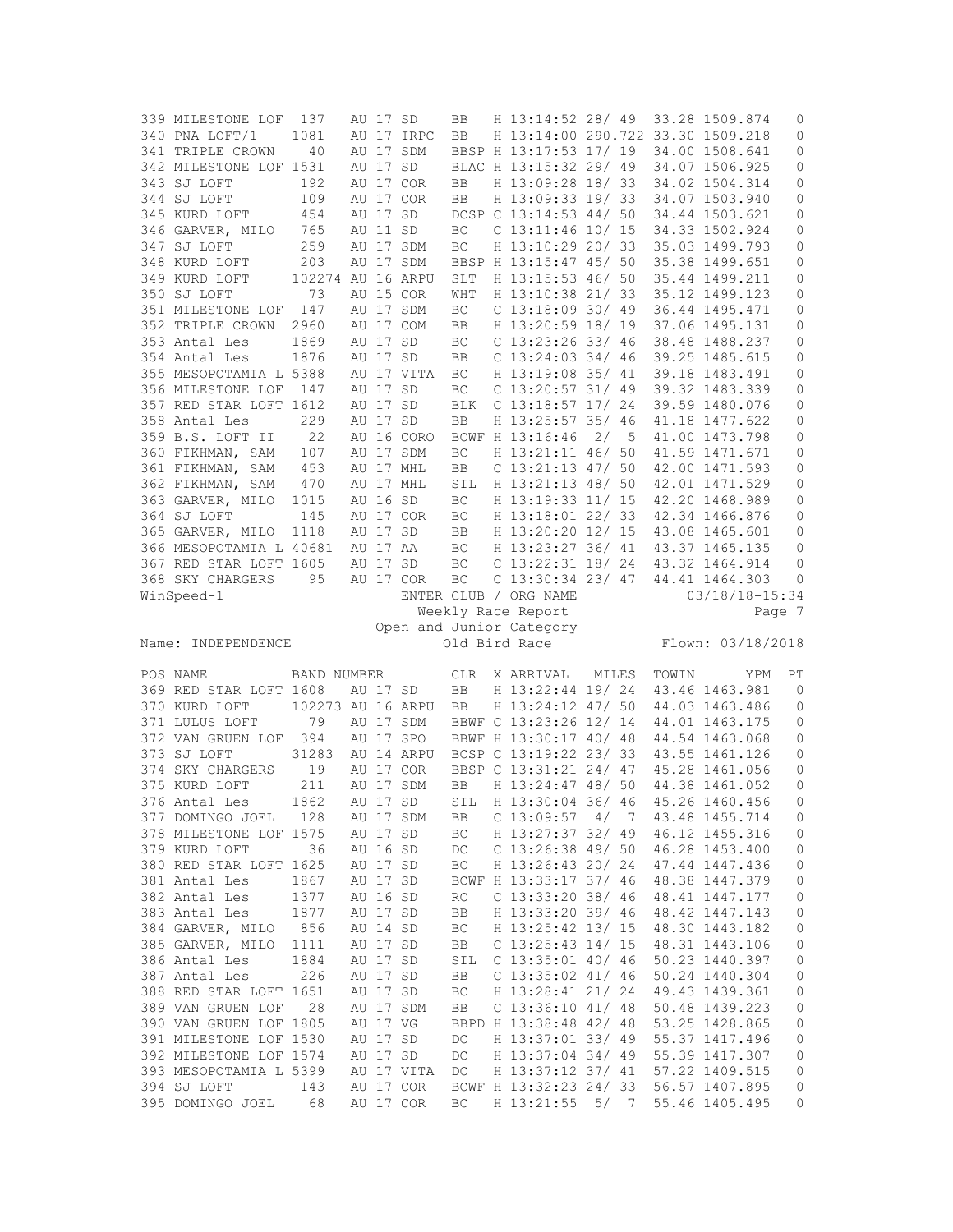| 339 MILESTONE LOF       | 137               | AU 17 SD |            | BB         | H 13:14:52 28/ 49                 |       |    |       | 33.28 1509.874    | 0                   |
|-------------------------|-------------------|----------|------------|------------|-----------------------------------|-------|----|-------|-------------------|---------------------|
| 340 PNA LOFT/1          | 1081              |          | AU 17 IRPC | BB         | H 13:14:00 290.722 33.30 1509.218 |       |    |       |                   | 0                   |
| 341 TRIPLE CROWN        | 40                |          | AU 17 SDM  |            | BBSP H 13:17:53 17/ 19            |       |    |       | 34.00 1508.641    | 0                   |
| 342 MILESTONE LOF 1531  |                   | AU 17 SD |            |            | BLAC H 13:15:32 29/ 49            |       |    |       | 34.07 1506.925    | 0                   |
| 343 SJ LOFT             | 192               |          | AU 17 COR  | BB         | H 13:09:28 18/ 33                 |       |    |       | 34.02 1504.314    | 0                   |
| 344 SJ LOFT             | 109               |          | AU 17 COR  | BB         | H 13:09:33 19/ 33                 |       |    |       | 34.07 1503.940    | 0                   |
|                         |                   |          |            |            |                                   |       |    |       |                   |                     |
| 345 KURD LOFT           | 454               | AU 17 SD |            |            | DCSP C 13:14:53 44/ 50            |       |    |       | 34.44 1503.621    | 0                   |
| 346 GARVER, MILO        | 765               | AU 11 SD |            | BC         | $C$ 13:11:46 10/ 15               |       |    |       | 34.33 1502.924    | 0                   |
| 347 SJ LOFT             | 259               |          | AU 17 SDM  | BC         | H 13:10:29 20/ 33                 |       |    |       | 35.03 1499.793    | 0                   |
| 348 KURD LOFT           | 203               |          | AU 17 SDM  |            | BBSP H 13:15:47 45/ 50            |       |    |       | 35.38 1499.651    | 0                   |
| 349 KURD LOFT           | 102274 AU 16 ARPU |          |            | <b>SLT</b> | H 13:15:53 46/ 50                 |       |    |       | 35.44 1499.211    | 0                   |
| 350 SJ LOFT             | 73                |          | AU 15 COR  | WHT        | H 13:10:38 21/ 33                 |       |    |       | 35.12 1499.123    | 0                   |
| 351 MILESTONE LOF 147   |                   |          | AU 17 SDM  | ВC         | $C$ 13:18:09 30/49                |       |    |       | 36.44 1495.471    | 0                   |
| 352 TRIPLE CROWN        | 2960              |          | AU 17 COM  | BB         | H 13:20:59 18/ 19                 |       |    |       | 37.06 1495.131    | $\mathbb O$         |
| 353 Antal Les           | 1869              | AU 17 SD |            | ВC         | $C$ 13:23:26 33/ 46               |       |    |       | 38.48 1488.237    | 0                   |
| 354 Antal Les           | 1876              | AU 17 SD |            | BB         | $C$ 13:24:03 34/ 46               |       |    |       | 39.25 1485.615    | 0                   |
| 355 MESOPOTAMIA L 5388  |                   |          | AU 17 VITA | BC         | H 13:19:08 35/ 41                 |       |    |       | 39.18 1483.491    | 0                   |
|                         |                   |          |            |            |                                   |       |    |       |                   |                     |
| 356 MILESTONE LOF       | 147               | AU 17 SD |            | ВC         | $C$ 13:20:57 31/49                |       |    |       | 39.32 1483.339    | 0                   |
| 357 RED STAR LOFT 1612  |                   | AU 17 SD |            | <b>BLK</b> | C $13:18:57$ $17/24$              |       |    |       | 39.59 1480.076    | 0                   |
| 358 Antal Les           | 229               | AU 17 SD |            | BB         | H 13:25:57 35/ 46                 |       |    |       | 41.18 1477.622    | 0                   |
| 359 B.S. LOFT II        | 22                |          | AU 16 CORO |            | BCWF H 13:16:46                   | 2/    | 5  |       | 41.00 1473.798    | 0                   |
| 360 FIKHMAN, SAM        | 107               |          | AU 17 SDM  | ВC         | H 13:21:11 46/ 50                 |       |    |       | 41.59 1471.671    | 0                   |
| 361 FIKHMAN, SAM        | 453               |          | AU 17 MHL  | BB         | $C$ 13:21:13 47/ 50               |       |    |       | 42.00 1471.593    | $\mathbb O$         |
| 362 FIKHMAN, SAM        | 470               |          | AU 17 MHL  | SIL        | H 13:21:13 48/ 50                 |       |    |       | 42.01 1471.529    | $\mathbb O$         |
| 363 GARVER, MILO        | 1015              | AU 16 SD |            | BC         | H 13:19:33 11/ 15                 |       |    |       | 42.20 1468.989    | 0                   |
| 364 SJ LOFT             | 145               |          | AU 17 COR  | ВC         | H 13:18:01 22/ 33                 |       |    |       | 42.34 1466.876    | 0                   |
| 365 GARVER, MILO        | 1118              | AU 17 SD |            | BB         | H 13:20:20 12/ 15                 |       |    |       | 43.08 1465.601    | 0                   |
|                         |                   |          |            |            |                                   |       |    |       |                   |                     |
| 366 MESOPOTAMIA L 40681 |                   | AU 17 AA |            | BC         | H 13:23:27 36/ 41                 |       |    |       | 43.37 1465.135    | 0                   |
| 367 RED STAR LOFT 1605  |                   | AU 17 SD |            | BC         | $C$ 13:22:31 18/24                |       |    |       | 43.32 1464.914    | 0                   |
| 368 SKY CHARGERS        | 95                |          | AU 17 COR  | BC         | $C$ 13:30:34 23/ 47               |       |    |       | 44.41 1464.303    | 0                   |
| WinSpeed-1              |                   |          |            |            | ENTER CLUB / ORG NAME             |       |    |       | 03/18/18-15:34    |                     |
|                         |                   |          |            |            |                                   |       |    |       |                   |                     |
|                         |                   |          |            |            | Weekly Race Report                |       |    |       |                   | Page 7              |
|                         |                   |          |            |            | Open and Junior Category          |       |    |       |                   |                     |
| Name: INDEPENDENCE      |                   |          |            |            | Old Bird Race                     |       |    |       | Flown: 03/18/2018 |                     |
|                         |                   |          |            |            |                                   |       |    |       |                   |                     |
| POS NAME                | BAND NUMBER       |          |            | CLR        | X ARRIVAL                         | MILES |    | TOWIN | YPM               | PT                  |
| 369 RED STAR LOFT 1608  |                   | AU 17 SD |            | <b>BB</b>  | H 13:22:44 19/ 24                 |       |    |       | 43.46 1463.981    | $\mathbf{0}$        |
| 370 KURD LOFT           | 102273 AU 16 ARPU |          |            | BB         | H 13:24:12 47/ 50                 |       |    |       | 44.03 1463.486    | 0                   |
| 371 LULUS LOFT          | 79                |          | AU 17 SDM  |            | BBWF C 13:23:26 12/ 14            |       |    |       | 44.01 1463.175    | 0                   |
|                         |                   |          |            |            |                                   |       |    |       |                   |                     |
| 372 VAN GRUEN LOF 394   |                   |          | AU 17 SPO  |            | BBWF H 13:30:17 40/ 48            |       |    |       | 44.54 1463.068    | 0                   |
| 373 SJ LOFT             | 31283             |          | AU 14 ARPU |            | BCSP C 13:19:22 23/33             |       |    |       | 43.55 1461.126    | 0                   |
| 374 SKY CHARGERS        | 19                |          | AU 17 COR  |            | BBSP C 13:31:21 24/ 47            |       |    |       | 45.28 1461.056    | 0                   |
| 375 KURD LOFT           | 211               |          | AU 17 SDM  | BB         | H 13:24:47 48/ 50                 |       |    |       | 44.38 1461.052    | 0                   |
| 376 Antal Les           | 1862              | AU 17 SD |            | SIL        | H 13:30:04 36/ 46                 |       |    |       | 45.26 1460.456    | $\mathbf 0$         |
| 377 DOMINGO JOEL        | 128               |          | AU 17 SDM  | ВB         | $C$ 13:09:57                      | 4/    | -7 |       | 43.48 1455.714    | 0                   |
| 378 MILESTONE LOF 1575  |                   | AU 17 SD |            | ВC         | H 13:27:37 32/ 49                 |       |    |       | 46.12 1455.316    | 0                   |
| 379 KURD LOFT           | 36                | AU 16 SD |            | DC         | $C$ 13:26:38 49/ 50               |       |    |       | 46.28 1453.400    | 0                   |
| 380 RED STAR LOFT 1625  |                   | AU 17 SD |            | ВC         | H 13:26:43 20/ 24                 |       |    |       | 47.44 1447.436    | 0                   |
| 381 Antal Les           | 1867              | AU 17 SD |            |            | BCWF H 13:33:17 37/ 46            |       |    |       | 48.38 1447.379    | 0                   |
| 382 Antal Les           | 1377              | AU 16 SD |            | RC         | C 13:33:20 38/ 46                 |       |    |       | 48.41 1447.177    | 0                   |
| 383 Antal Les           | 1877              | AU 17 SD |            | BB         |                                   |       |    |       | 48.42 1447.143    |                     |
|                         |                   |          |            |            | H 13:33:20 39/ 46                 |       |    |       |                   | $\mathbb O$         |
| 384 GARVER, MILO        | 856               | AU 14 SD |            | ВC         | H 13:25:42 13/ 15                 |       |    |       | 48.30 1443.182    | 0                   |
| 385 GARVER, MILO        | 1111              | AU 17 SD |            | ВB         | C $13:25:43$ $14/15$              |       |    |       | 48.31 1443.106    | 0                   |
| 386 Antal Les           | 1884              | AU 17 SD |            | SIL        | $C$ 13:35:01 40/ 46               |       |    |       | 50.23 1440.397    | $\mathsf{O}\xspace$ |
| 387 Antal Les           | 226               | AU 17 SD |            | BB         | $C$ 13:35:02 41/ 46               |       |    |       | 50.24 1440.304    | 0                   |
| 388 RED STAR LOFT 1651  |                   | AU 17 SD |            | ВC         | H 13:28:41 21/ 24                 |       |    |       | 49.43 1439.361    | 0                   |
| 389 VAN GRUEN LOF       | 28                |          | AU 17 SDM  | BB         | C 13:36:10 41/ 48                 |       |    |       | 50.48 1439.223    | $\mathsf{O}\xspace$ |
| 390 VAN GRUEN LOF 1805  |                   | AU 17 VG |            |            | BBPD H 13:38:48 42/ 48            |       |    |       | 53.25 1428.865    | $\mathbb O$         |
| 391 MILESTONE LOF 1530  |                   | AU 17 SD |            | DC         | H 13:37:01 33/ 49                 |       |    |       | 55.37 1417.496    | 0                   |
| 392 MILESTONE LOF 1574  |                   | AU 17 SD |            | DC         | H 13:37:04 34/ 49                 |       |    |       | 55.39 1417.307    | $\mathbb O$         |
| 393 MESOPOTAMIA L 5399  |                   |          | AU 17 VITA | DC         | H 13:37:12 37/ 41                 |       |    |       | 57.22 1409.515    | 0                   |
| 394 SJ LOFT             | 143               |          | AU 17 COR  |            | BCWF H 13:32:23 24/ 33            |       |    |       | 56.57 1407.895    | 0                   |